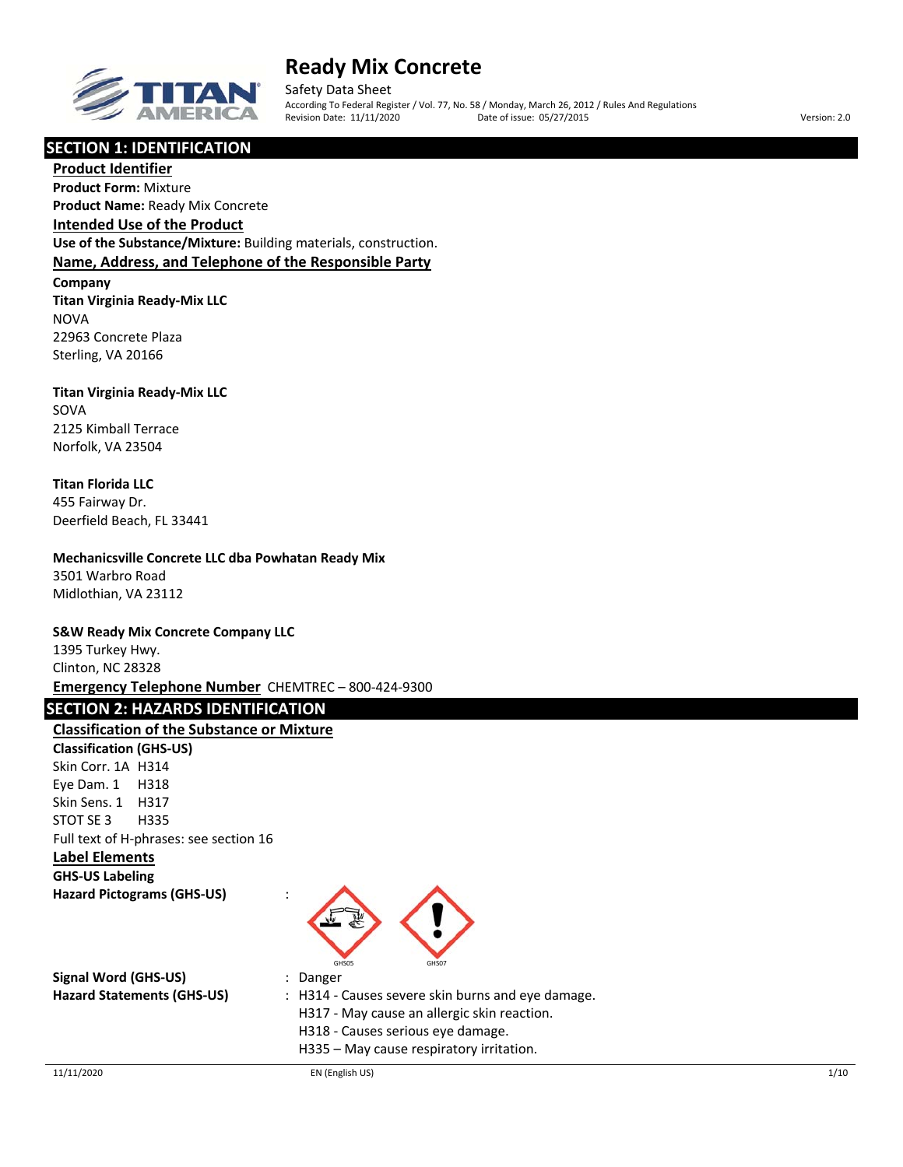

Safety Data Sheet According To Federal Register / Vol. 77, No. 58 / Monday, March 26, 2012 / Rules And Regulations Revision Date: 11/11/2020 Date of issue: 05/27/2015 Version: 2.0

## **SECTION 1: IDENTIFICATION**

**Product Identifier Product Form:** Mixture **Product Name:** Ready Mix Concrete

**Intended Use of the Product**

**Use of the Substance/Mixture:** Building materials, construction. **Name, Address, and Telephone of the Responsible Party**

**Company Titan Virginia Ready‐Mix LLC NOVA** 22963 Concrete Plaza Sterling, VA 20166

## **Titan Virginia Ready‐Mix LLC**

SOVA 2125 Kimball Terrace Norfolk, VA 23504

## **Titan Florida LLC**

455 Fairway Dr. Deerfield Beach, FL 33441

### **Mechanicsville Concrete LLC dba Powhatan Ready Mix**

3501 Warbro Road Midlothian, VA 23112

## **S&W Ready Mix Concrete Company LLC**

1395 Turkey Hwy. Clinton, NC 28328 **Emergency Telephone Number** CHEMTREC – 800‐424‐9300

## **SECTION 2: HAZARDS IDENTIFICATION**

## **Classification of the Substance or Mixture**

**Classification (GHS‐US)** Skin Corr. 1A H314 Eye Dam. 1 H318 Skin Sens. 1 H317 STOT SE 3 H335 Full text of H‐phrases: see section 16

## **Label Elements**

**GHS‐US Labeling**





| Signal Word (GHS-US)       | : Danger                                          |
|----------------------------|---------------------------------------------------|
| Hazard Statements (GHS-US) | : H314 - Causes severe skin burns and eve damage. |
|                            | H317 - May cause an allergic skin reaction.       |
|                            | H318 - Causes serious eye damage.                 |
|                            | H335 – May cause respiratory irritation.          |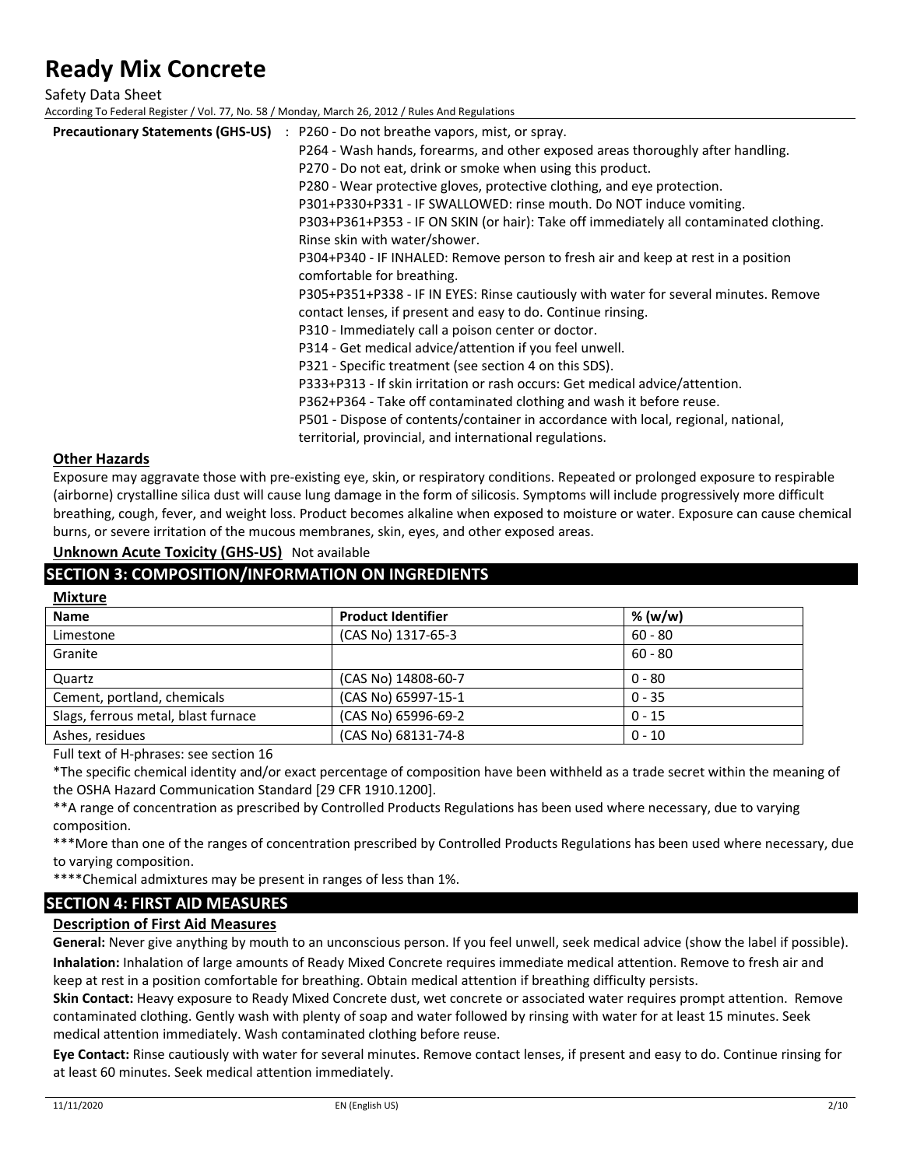Safety Data Sheet

According To Federal Register / Vol. 77, No. 58 / Monday, March 26, 2012 / Rules And Regulations

| <b>Precautionary Statements (GHS-US)</b> | : P260 - Do not breathe vapors, mist, or spray.<br>P264 - Wash hands, forearms, and other exposed areas thoroughly after handling.<br>P270 - Do not eat, drink or smoke when using this product.<br>P280 - Wear protective gloves, protective clothing, and eye protection.<br>P301+P330+P331 - IF SWALLOWED: rinse mouth. Do NOT induce vomiting.<br>P303+P361+P353 - IF ON SKIN (or hair): Take off immediately all contaminated clothing.<br>Rinse skin with water/shower.<br>P304+P340 - IF INHALED: Remove person to fresh air and keep at rest in a position<br>comfortable for breathing.<br>P305+P351+P338 - IF IN EYES: Rinse cautiously with water for several minutes. Remove<br>contact lenses, if present and easy to do. Continue rinsing.<br>P310 - Immediately call a poison center or doctor.<br>P314 - Get medical advice/attention if you feel unwell.<br>P321 - Specific treatment (see section 4 on this SDS).<br>P333+P313 - If skin irritation or rash occurs: Get medical advice/attention.<br>P362+P364 - Take off contaminated clothing and wash it before reuse.<br>P501 - Dispose of contents/container in accordance with local, regional, national, |
|------------------------------------------|-----------------------------------------------------------------------------------------------------------------------------------------------------------------------------------------------------------------------------------------------------------------------------------------------------------------------------------------------------------------------------------------------------------------------------------------------------------------------------------------------------------------------------------------------------------------------------------------------------------------------------------------------------------------------------------------------------------------------------------------------------------------------------------------------------------------------------------------------------------------------------------------------------------------------------------------------------------------------------------------------------------------------------------------------------------------------------------------------------------------------------------------------------------------------------------|
|                                          | territorial, provincial, and international regulations.                                                                                                                                                                                                                                                                                                                                                                                                                                                                                                                                                                                                                                                                                                                                                                                                                                                                                                                                                                                                                                                                                                                           |

#### **Other Hazards**

Exposure may aggravate those with pre‐existing eye, skin, or respiratory conditions. Repeated or prolonged exposure to respirable (airborne) crystalline silica dust will cause lung damage in the form of silicosis. Symptoms will include progressively more difficult breathing, cough, fever, and weight loss. Product becomes alkaline when exposed to moisture or water. Exposure can cause chemical burns, or severe irritation of the mucous membranes, skin, eyes, and other exposed areas.

## **Unknown Acute Toxicity (GHS‐US)** Not available

## **SECTION 3: COMPOSITION/INFORMATION ON INGREDIENTS**

| <b>Mixture</b>                      |                           |           |
|-------------------------------------|---------------------------|-----------|
| <b>Name</b>                         | <b>Product Identifier</b> | % (w/w)   |
| Limestone                           | (CAS No) 1317-65-3        | $60 - 80$ |
| Granite                             |                           | $60 - 80$ |
| Quartz                              | (CAS No) 14808-60-7       | $0 - 80$  |
| Cement, portland, chemicals         | (CAS No) 65997-15-1       | $0 - 35$  |
| Slags, ferrous metal, blast furnace | (CAS No) 65996-69-2       | $0 - 15$  |
| Ashes, residues                     | (CAS No) 68131-74-8       | $0 - 10$  |

Full text of H‐phrases: see section 16

\*The specific chemical identity and/or exact percentage of composition have been withheld as a trade secret within the meaning of the OSHA Hazard Communication Standard [29 CFR 1910.1200].

\*\*A range of concentration as prescribed by Controlled Products Regulations has been used where necessary, due to varying composition.

\*\*\*More than one of the ranges of concentration prescribed by Controlled Products Regulations has been used where necessary, due to varying composition.

\*\*\*\*Chemical admixtures may be present in ranges of less than 1%.

## **SECTION 4: FIRST AID MEASURES**

## **Description of First Aid Measures**

**General:** Never give anything by mouth to an unconscious person. If you feel unwell, seek medical advice (show the label if possible). **Inhalation:** Inhalation of large amounts of Ready Mixed Concrete requires immediate medical attention. Remove to fresh air and keep at rest in a position comfortable for breathing. Obtain medical attention if breathing difficulty persists.

**Skin Contact:** Heavy exposure to Ready Mixed Concrete dust, wet concrete or associated water requires prompt attention. Remove contaminated clothing. Gently wash with plenty of soap and water followed by rinsing with water for at least 15 minutes. Seek medical attention immediately. Wash contaminated clothing before reuse.

**Eye Contact:** Rinse cautiously with water for several minutes. Remove contact lenses, if present and easy to do. Continue rinsing for at least 60 minutes. Seek medical attention immediately.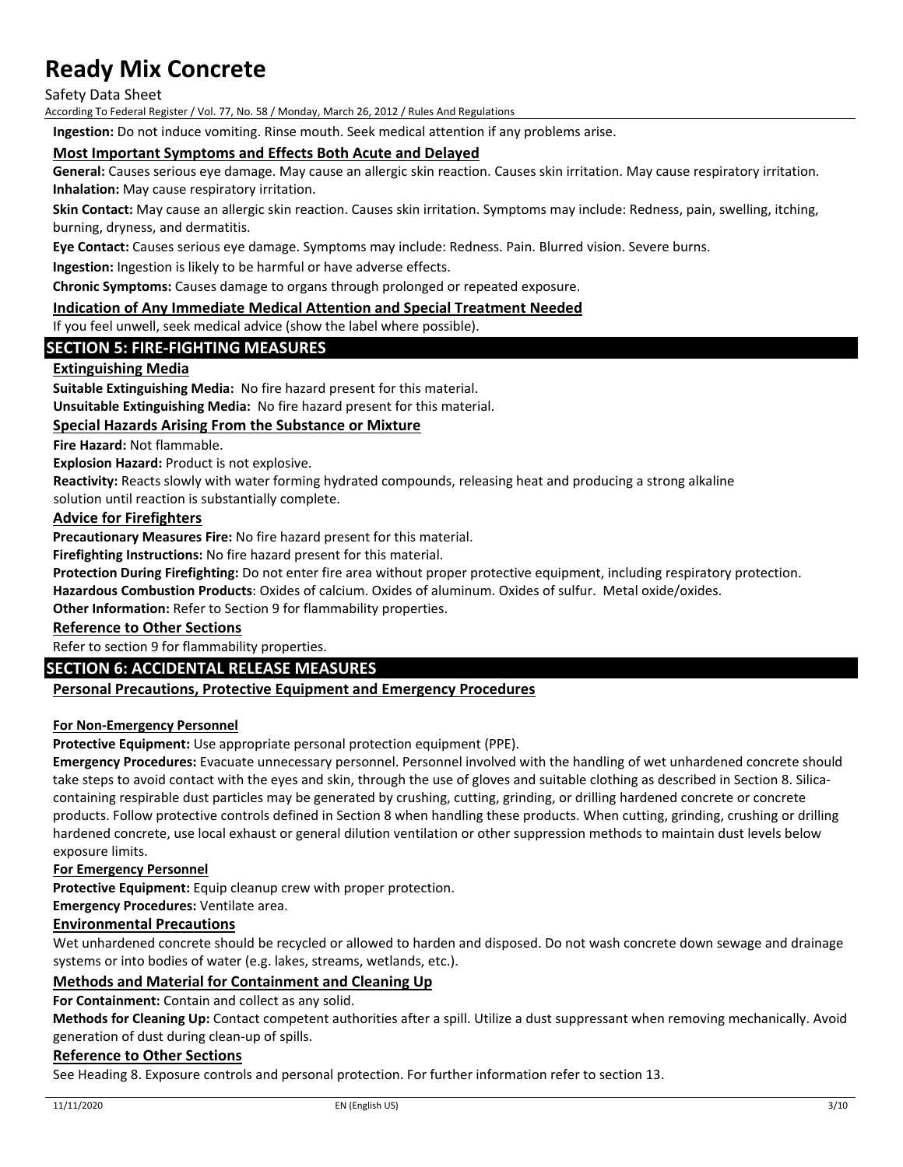Safety Data Sheet

According To Federal Register / Vol. 77, No. 58 / Monday, March 26, 2012 / Rules And Regulations

**Ingestion:** Do not induce vomiting. Rinse mouth. Seek medical attention if any problems arise.

### **Most Important Symptoms and Effects Both Acute and Delayed**

**General:** Causes serious eye damage. May cause an allergic skin reaction. Causes skin irritation. May cause respiratory irritation. **Inhalation:** May cause respiratory irritation.

**Skin Contact:** May cause an allergic skin reaction. Causes skin irritation. Symptoms may include: Redness, pain, swelling, itching, burning, dryness, and dermatitis.

**Eye Contact:** Causes serious eye damage. Symptoms may include: Redness. Pain. Blurred vision. Severe burns.

**Ingestion:** Ingestion is likely to be harmful or have adverse effects.

**Chronic Symptoms:** Causes damage to organs through prolonged or repeated exposure.

#### **Indication of Any Immediate Medical Attention and Special Treatment Needed**

If you feel unwell, seek medical advice (show the label where possible).

## **SECTION 5: FIRE‐FIGHTING MEASURES**

### **Extinguishing Media**

**Suitable Extinguishing Media:** No fire hazard present for this material.

**Unsuitable Extinguishing Media:** No fire hazard present for this material.

#### **Special Hazards Arising From the Substance or Mixture**

**Fire Hazard:** Not flammable.

**Explosion Hazard:** Product is not explosive.

**Reactivity:** Reacts slowly with water forming hydrated compounds, releasing heat and producing a strong alkaline solution until reaction is substantially complete.

#### **Advice for Firefighters**

**Precautionary Measures Fire:** No fire hazard present for this material.

**Firefighting Instructions:** No fire hazard present for this material.

**Protection During Firefighting:** Do not enter fire area without proper protective equipment, including respiratory protection.

**Hazardous Combustion Products**: Oxides of calcium. Oxides of aluminum. Oxides of sulfur. Metal oxide/oxides.

**Other Information:** Refer to Section 9 for flammability properties.

## **Reference to Other Sections**

Refer to section 9 for flammability properties.

### **SECTION 6: ACCIDENTAL RELEASE MEASURES**

### **Personal Precautions, Protective Equipment and Emergency Procedures**

#### **For Non‐Emergency Personnel**

**Protective Equipment:** Use appropriate personal protection equipment (PPE).

**Emergency Procedures:** Evacuate unnecessary personnel. Personnel involved with the handling of wet unhardened concrete should take steps to avoid contact with the eyes and skin, through the use of gloves and suitable clothing as described in Section 8. Silicacontaining respirable dust particles may be generated by crushing, cutting, grinding, or drilling hardened concrete or concrete products. Follow protective controls defined in Section 8 when handling these products. When cutting, grinding, crushing or drilling hardened concrete, use local exhaust or general dilution ventilation or other suppression methods to maintain dust levels below exposure limits.

#### **For Emergency Personnel**

**Protective Equipment:** Equip cleanup crew with proper protection.

**Emergency Procedures:** Ventilate area.

### **Environmental Precautions**

Wet unhardened concrete should be recycled or allowed to harden and disposed. Do not wash concrete down sewage and drainage systems or into bodies of water (e.g. lakes, streams, wetlands, etc.).

### **Methods and Material for Containment and Cleaning Up**

**For Containment:** Contain and collect as any solid.

**Methods for Cleaning Up:** Contact competent authorities after a spill. Utilize a dust suppressant when removing mechanically. Avoid generation of dust during clean‐up of spills.

#### **Reference to Other Sections**

See Heading 8. Exposure controls and personal protection. For further information refer to section 13.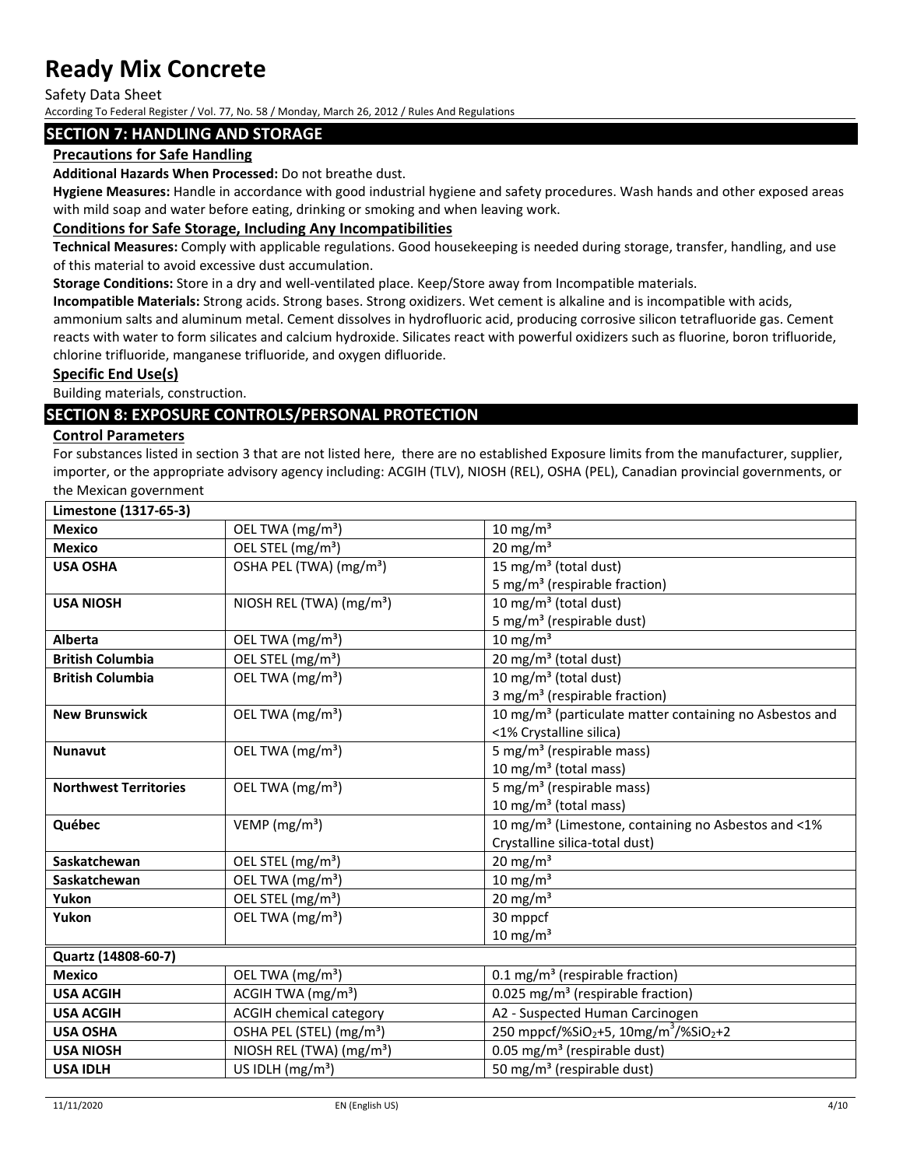Safety Data Sheet

According To Federal Register / Vol. 77, No. 58 / Monday, March 26, 2012 / Rules And Regulations

## **SECTION 7: HANDLING AND STORAGE**

### **Precautions for Safe Handling**

**Additional Hazards When Processed:** Do not breathe dust.

**Hygiene Measures:** Handle in accordance with good industrial hygiene and safety procedures. Wash hands and other exposed areas with mild soap and water before eating, drinking or smoking and when leaving work.

## **Conditions for Safe Storage, Including Any Incompatibilities**

**Technical Measures:** Comply with applicable regulations. Good housekeeping is needed during storage, transfer, handling, and use of this material to avoid excessive dust accumulation.

**Storage Conditions:** Store in a dry and well‐ventilated place. Keep/Store away from Incompatible materials.

**Incompatible Materials:** Strong acids. Strong bases. Strong oxidizers. Wet cement is alkaline and is incompatible with acids, ammonium salts and aluminum metal. Cement dissolves in hydrofluoric acid, producing corrosive silicon tetrafluoride gas. Cement reacts with water to form silicates and calcium hydroxide. Silicates react with powerful oxidizers such as fluorine, boron trifluoride, chlorine trifluoride, manganese trifluoride, and oxygen difluoride.

### **Specific End Use(s)**

Building materials, construction.

## **SECTION 8: EXPOSURE CONTROLS/PERSONAL PROTECTION**

#### **Control Parameters**

For substances listed in section 3 that are not listed here, there are no established Exposure limits from the manufacturer, supplier, importer, or the appropriate advisory agency including: ACGIH (TLV), NIOSH (REL), OSHA (PEL), Canadian provincial governments, or the Mexican government

**Limestone (1317‐65‐3)**

| ור-כס- ובכבן שווטוכשוווו     |                                      |                                                                           |
|------------------------------|--------------------------------------|---------------------------------------------------------------------------|
| <b>Mexico</b>                | OEL TWA (mg/m <sup>3</sup> )         | $10 \text{ mg/m}^3$                                                       |
| <b>Mexico</b>                | OEL STEL (mg/m <sup>3</sup> )        | $20 \text{ mg/m}^3$                                                       |
| <b>USA OSHA</b>              | OSHA PEL (TWA) (mg/m <sup>3</sup> )  | 15 mg/m <sup>3</sup> (total dust)                                         |
|                              |                                      | 5 mg/m <sup>3</sup> (respirable fraction)                                 |
| <b>USA NIOSH</b>             | NIOSH REL (TWA) (mg/m <sup>3</sup> ) | 10 mg/m <sup>3</sup> (total dust)                                         |
|                              |                                      | 5 mg/m <sup>3</sup> (respirable dust)                                     |
| <b>Alberta</b>               | OEL TWA (mg/m <sup>3</sup> )         | $10 \text{ mg/m}^3$                                                       |
| <b>British Columbia</b>      | OEL STEL (mg/m <sup>3</sup> )        | 20 mg/m <sup>3</sup> (total dust)                                         |
| <b>British Columbia</b>      | OEL TWA (mg/m <sup>3</sup> )         | 10 mg/m <sup>3</sup> (total dust)                                         |
|                              |                                      | 3 mg/m <sup>3</sup> (respirable fraction)                                 |
| <b>New Brunswick</b>         | OEL TWA (mg/m <sup>3</sup> )         | 10 mg/m <sup>3</sup> (particulate matter containing no Asbestos and       |
|                              |                                      | <1% Crystalline silica)                                                   |
| <b>Nunavut</b>               | OEL TWA (mg/m <sup>3</sup> )         | 5 mg/m <sup>3</sup> (respirable mass)                                     |
|                              |                                      | 10 mg/m <sup>3</sup> (total mass)                                         |
| <b>Northwest Territories</b> | OEL TWA (mg/m <sup>3</sup> )         | 5 mg/m <sup>3</sup> (respirable mass)                                     |
|                              |                                      | 10 mg/m <sup>3</sup> (total mass)                                         |
| Québec                       | VEMP ( $mg/m3$ )                     | 10 mg/m <sup>3</sup> (Limestone, containing no Asbestos and <1%           |
|                              |                                      | Crystalline silica-total dust)                                            |
| Saskatchewan                 | OEL STEL (mg/m <sup>3</sup> )        | $20$ mg/m <sup>3</sup>                                                    |
| Saskatchewan                 | OEL TWA (mg/m <sup>3</sup> )         | $10 \text{ mg/m}^3$                                                       |
| Yukon                        | OEL STEL (mg/m <sup>3</sup> )        | $20 \text{ mg/m}^3$                                                       |
| Yukon                        | OEL TWA (mg/m <sup>3</sup> )         | 30 mppcf                                                                  |
|                              |                                      | $10 \text{ mg/m}^3$                                                       |
| Quartz (14808-60-7)          |                                      |                                                                           |
| <b>Mexico</b>                | OEL TWA (mg/m <sup>3</sup> )         | 0.1 mg/m <sup>3</sup> (respirable fraction)                               |
| <b>USA ACGIH</b>             | ACGIH TWA (mg/m <sup>3</sup> )       | 0.025 mg/m <sup>3</sup> (respirable fraction)                             |
| <b>USA ACGIH</b>             | <b>ACGIH chemical category</b>       | A2 - Suspected Human Carcinogen                                           |
| <b>USA OSHA</b>              | OSHA PEL (STEL) (mg/m <sup>3</sup> ) | 250 mppcf/%SiO <sub>2</sub> +5, 10mg/m <sup>3</sup> /%SiO <sub>2</sub> +2 |
| <b>USA NIOSH</b>             | NIOSH REL (TWA) (mg/m <sup>3</sup> ) | 0.05 mg/m <sup>3</sup> (respirable dust)                                  |
| <b>USA IDLH</b>              | US IDLH $(mg/m3)$                    | 50 mg/m <sup>3</sup> (respirable dust)                                    |
|                              |                                      |                                                                           |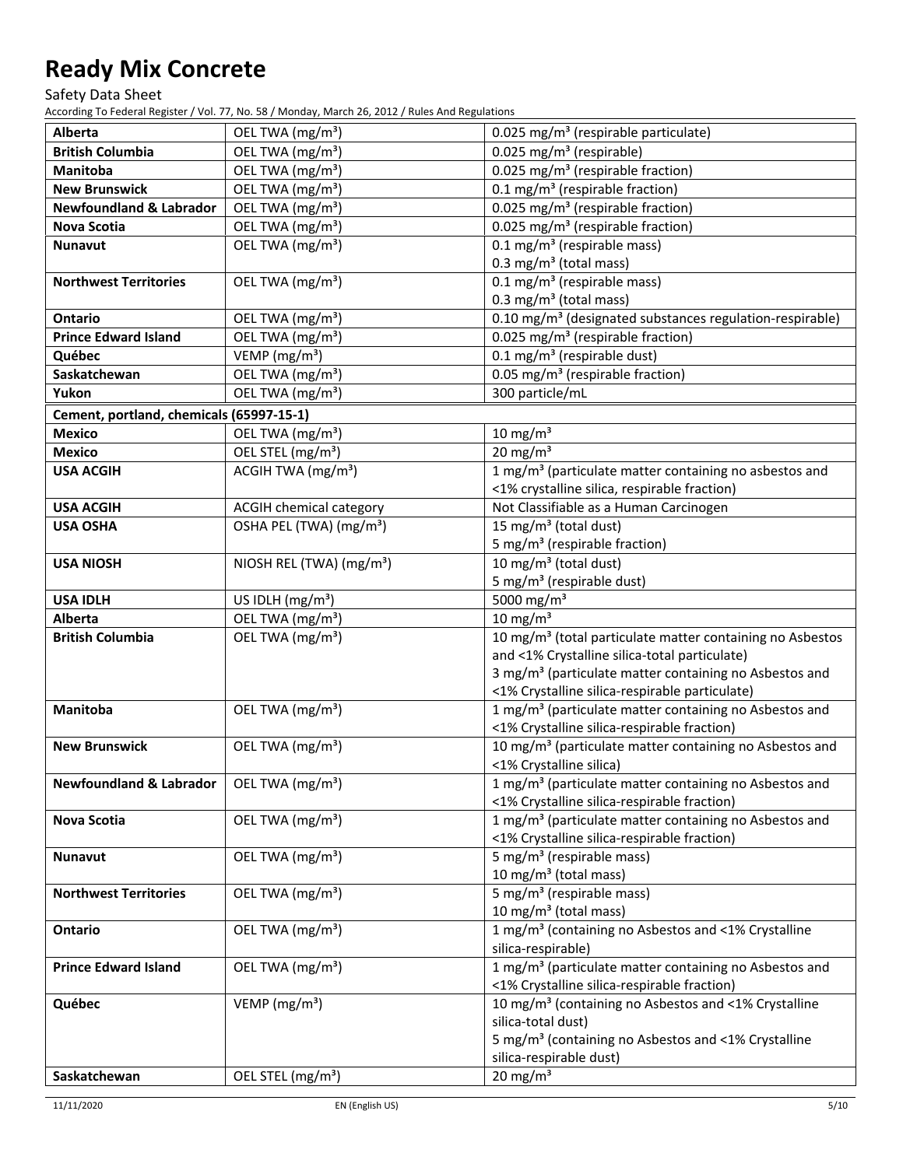Safety Data Sheet

According To Federal Register / Vol. 77, No. 58 / Monday, March 26, 2012 / Rules And Regulations

| Alberta<br>OEL TWA (mg/m <sup>3</sup> )<br>0.025 mg/m <sup>3</sup> (respirable particulate)<br>OEL TWA (mg/m <sup>3</sup> )<br>0.025 mg/m <sup>3</sup> (respirable)<br><b>British Columbia</b><br>0.025 mg/m <sup>3</sup> (respirable fraction)<br>OEL TWA (mg/m <sup>3</sup> )<br>Manitoba<br>0.1 mg/m <sup>3</sup> (respirable fraction)<br><b>New Brunswick</b><br>OEL TWA (mg/m <sup>3</sup> )<br><b>Newfoundland &amp; Labrador</b><br>OEL TWA (mg/m <sup>3</sup> )<br>0.025 mg/m <sup>3</sup> (respirable fraction)<br>OEL TWA (mg/m <sup>3</sup> )<br>0.025 mg/m <sup>3</sup> (respirable fraction)<br>Nova Scotia<br>OEL TWA (mg/m <sup>3</sup> )<br>$0.1 \text{ mg/m}^3$ (respirable mass)<br><b>Nunavut</b><br>$0.3 \text{ mg/m}^3$ (total mass)<br>$0.1 \text{ mg/m}^3$ (respirable mass)<br>OEL TWA (mg/m <sup>3</sup> )<br><b>Northwest Territories</b><br>0.3 mg/m <sup>3</sup> (total mass)<br>OEL TWA (mg/m <sup>3</sup> )<br>0.10 mg/m <sup>3</sup> (designated substances regulation-respirable)<br><b>Ontario</b><br><b>Prince Edward Island</b><br>OEL TWA (mg/m <sup>3</sup> )<br>0.025 mg/m <sup>3</sup> (respirable fraction)<br>VEMP ( $mg/m3$ )<br>$0.1$ mg/m <sup>3</sup> (respirable dust)<br>Québec<br>OEL TWA (mg/m <sup>3</sup> )<br>0.05 mg/m <sup>3</sup> (respirable fraction)<br>Saskatchewan<br>300 particle/mL<br>Yukon<br>OEL TWA (mg/m <sup>3</sup> )<br>Cement, portland, chemicals (65997-15-1)<br>OEL TWA (mg/m <sup>3</sup> )<br>$10 \text{ mg/m}^3$<br><b>Mexico</b><br>$20$ mg/m <sup>3</sup><br>OEL STEL (mg/m <sup>3</sup> )<br><b>Mexico</b> |
|---------------------------------------------------------------------------------------------------------------------------------------------------------------------------------------------------------------------------------------------------------------------------------------------------------------------------------------------------------------------------------------------------------------------------------------------------------------------------------------------------------------------------------------------------------------------------------------------------------------------------------------------------------------------------------------------------------------------------------------------------------------------------------------------------------------------------------------------------------------------------------------------------------------------------------------------------------------------------------------------------------------------------------------------------------------------------------------------------------------------------------------------------------------------------------------------------------------------------------------------------------------------------------------------------------------------------------------------------------------------------------------------------------------------------------------------------------------------------------------------------------------------------------------------------------------------------------------------|
|                                                                                                                                                                                                                                                                                                                                                                                                                                                                                                                                                                                                                                                                                                                                                                                                                                                                                                                                                                                                                                                                                                                                                                                                                                                                                                                                                                                                                                                                                                                                                                                             |
|                                                                                                                                                                                                                                                                                                                                                                                                                                                                                                                                                                                                                                                                                                                                                                                                                                                                                                                                                                                                                                                                                                                                                                                                                                                                                                                                                                                                                                                                                                                                                                                             |
|                                                                                                                                                                                                                                                                                                                                                                                                                                                                                                                                                                                                                                                                                                                                                                                                                                                                                                                                                                                                                                                                                                                                                                                                                                                                                                                                                                                                                                                                                                                                                                                             |
|                                                                                                                                                                                                                                                                                                                                                                                                                                                                                                                                                                                                                                                                                                                                                                                                                                                                                                                                                                                                                                                                                                                                                                                                                                                                                                                                                                                                                                                                                                                                                                                             |
|                                                                                                                                                                                                                                                                                                                                                                                                                                                                                                                                                                                                                                                                                                                                                                                                                                                                                                                                                                                                                                                                                                                                                                                                                                                                                                                                                                                                                                                                                                                                                                                             |
|                                                                                                                                                                                                                                                                                                                                                                                                                                                                                                                                                                                                                                                                                                                                                                                                                                                                                                                                                                                                                                                                                                                                                                                                                                                                                                                                                                                                                                                                                                                                                                                             |
|                                                                                                                                                                                                                                                                                                                                                                                                                                                                                                                                                                                                                                                                                                                                                                                                                                                                                                                                                                                                                                                                                                                                                                                                                                                                                                                                                                                                                                                                                                                                                                                             |
|                                                                                                                                                                                                                                                                                                                                                                                                                                                                                                                                                                                                                                                                                                                                                                                                                                                                                                                                                                                                                                                                                                                                                                                                                                                                                                                                                                                                                                                                                                                                                                                             |
|                                                                                                                                                                                                                                                                                                                                                                                                                                                                                                                                                                                                                                                                                                                                                                                                                                                                                                                                                                                                                                                                                                                                                                                                                                                                                                                                                                                                                                                                                                                                                                                             |
|                                                                                                                                                                                                                                                                                                                                                                                                                                                                                                                                                                                                                                                                                                                                                                                                                                                                                                                                                                                                                                                                                                                                                                                                                                                                                                                                                                                                                                                                                                                                                                                             |
|                                                                                                                                                                                                                                                                                                                                                                                                                                                                                                                                                                                                                                                                                                                                                                                                                                                                                                                                                                                                                                                                                                                                                                                                                                                                                                                                                                                                                                                                                                                                                                                             |
|                                                                                                                                                                                                                                                                                                                                                                                                                                                                                                                                                                                                                                                                                                                                                                                                                                                                                                                                                                                                                                                                                                                                                                                                                                                                                                                                                                                                                                                                                                                                                                                             |
|                                                                                                                                                                                                                                                                                                                                                                                                                                                                                                                                                                                                                                                                                                                                                                                                                                                                                                                                                                                                                                                                                                                                                                                                                                                                                                                                                                                                                                                                                                                                                                                             |
|                                                                                                                                                                                                                                                                                                                                                                                                                                                                                                                                                                                                                                                                                                                                                                                                                                                                                                                                                                                                                                                                                                                                                                                                                                                                                                                                                                                                                                                                                                                                                                                             |
|                                                                                                                                                                                                                                                                                                                                                                                                                                                                                                                                                                                                                                                                                                                                                                                                                                                                                                                                                                                                                                                                                                                                                                                                                                                                                                                                                                                                                                                                                                                                                                                             |
|                                                                                                                                                                                                                                                                                                                                                                                                                                                                                                                                                                                                                                                                                                                                                                                                                                                                                                                                                                                                                                                                                                                                                                                                                                                                                                                                                                                                                                                                                                                                                                                             |
|                                                                                                                                                                                                                                                                                                                                                                                                                                                                                                                                                                                                                                                                                                                                                                                                                                                                                                                                                                                                                                                                                                                                                                                                                                                                                                                                                                                                                                                                                                                                                                                             |
|                                                                                                                                                                                                                                                                                                                                                                                                                                                                                                                                                                                                                                                                                                                                                                                                                                                                                                                                                                                                                                                                                                                                                                                                                                                                                                                                                                                                                                                                                                                                                                                             |
| ACGIH TWA (mg/m <sup>3</sup> )<br>1 mg/m <sup>3</sup> (particulate matter containing no asbestos and<br><b>USA ACGIH</b>                                                                                                                                                                                                                                                                                                                                                                                                                                                                                                                                                                                                                                                                                                                                                                                                                                                                                                                                                                                                                                                                                                                                                                                                                                                                                                                                                                                                                                                                    |
| <1% crystalline silica, respirable fraction)                                                                                                                                                                                                                                                                                                                                                                                                                                                                                                                                                                                                                                                                                                                                                                                                                                                                                                                                                                                                                                                                                                                                                                                                                                                                                                                                                                                                                                                                                                                                                |
| <b>ACGIH chemical category</b><br>Not Classifiable as a Human Carcinogen<br><b>USA ACGIH</b>                                                                                                                                                                                                                                                                                                                                                                                                                                                                                                                                                                                                                                                                                                                                                                                                                                                                                                                                                                                                                                                                                                                                                                                                                                                                                                                                                                                                                                                                                                |
| 15 mg/m <sup>3</sup> (total dust)<br>OSHA PEL (TWA) (mg/m <sup>3</sup> )<br><b>USA OSHA</b>                                                                                                                                                                                                                                                                                                                                                                                                                                                                                                                                                                                                                                                                                                                                                                                                                                                                                                                                                                                                                                                                                                                                                                                                                                                                                                                                                                                                                                                                                                 |
| 5 mg/m <sup>3</sup> (respirable fraction)                                                                                                                                                                                                                                                                                                                                                                                                                                                                                                                                                                                                                                                                                                                                                                                                                                                                                                                                                                                                                                                                                                                                                                                                                                                                                                                                                                                                                                                                                                                                                   |
| 10 mg/m <sup>3</sup> (total dust)<br>NIOSH REL (TWA) (mg/m <sup>3</sup> )<br><b>USA NIOSH</b>                                                                                                                                                                                                                                                                                                                                                                                                                                                                                                                                                                                                                                                                                                                                                                                                                                                                                                                                                                                                                                                                                                                                                                                                                                                                                                                                                                                                                                                                                               |
| 5 mg/m <sup>3</sup> (respirable dust)                                                                                                                                                                                                                                                                                                                                                                                                                                                                                                                                                                                                                                                                                                                                                                                                                                                                                                                                                                                                                                                                                                                                                                                                                                                                                                                                                                                                                                                                                                                                                       |
| 5000 mg/m <sup>3</sup><br>US IDLH $(mg/m3)$<br><b>USA IDLH</b>                                                                                                                                                                                                                                                                                                                                                                                                                                                                                                                                                                                                                                                                                                                                                                                                                                                                                                                                                                                                                                                                                                                                                                                                                                                                                                                                                                                                                                                                                                                              |
| OEL TWA (mg/m <sup>3</sup> )<br>$10 \text{ mg/m}^3$<br>Alberta                                                                                                                                                                                                                                                                                                                                                                                                                                                                                                                                                                                                                                                                                                                                                                                                                                                                                                                                                                                                                                                                                                                                                                                                                                                                                                                                                                                                                                                                                                                              |
| OEL TWA (mg/m <sup>3</sup> )<br>10 mg/m <sup>3</sup> (total particulate matter containing no Asbestos<br><b>British Columbia</b>                                                                                                                                                                                                                                                                                                                                                                                                                                                                                                                                                                                                                                                                                                                                                                                                                                                                                                                                                                                                                                                                                                                                                                                                                                                                                                                                                                                                                                                            |
| and <1% Crystalline silica-total particulate)                                                                                                                                                                                                                                                                                                                                                                                                                                                                                                                                                                                                                                                                                                                                                                                                                                                                                                                                                                                                                                                                                                                                                                                                                                                                                                                                                                                                                                                                                                                                               |
| 3 mg/m <sup>3</sup> (particulate matter containing no Asbestos and                                                                                                                                                                                                                                                                                                                                                                                                                                                                                                                                                                                                                                                                                                                                                                                                                                                                                                                                                                                                                                                                                                                                                                                                                                                                                                                                                                                                                                                                                                                          |
| <1% Crystalline silica-respirable particulate)                                                                                                                                                                                                                                                                                                                                                                                                                                                                                                                                                                                                                                                                                                                                                                                                                                                                                                                                                                                                                                                                                                                                                                                                                                                                                                                                                                                                                                                                                                                                              |
| 1 mg/m <sup>3</sup> (particulate matter containing no Asbestos and<br>OEL TWA (mg/m <sup>3</sup> )<br>Manitoba                                                                                                                                                                                                                                                                                                                                                                                                                                                                                                                                                                                                                                                                                                                                                                                                                                                                                                                                                                                                                                                                                                                                                                                                                                                                                                                                                                                                                                                                              |
| <1% Crystalline silica-respirable fraction)                                                                                                                                                                                                                                                                                                                                                                                                                                                                                                                                                                                                                                                                                                                                                                                                                                                                                                                                                                                                                                                                                                                                                                                                                                                                                                                                                                                                                                                                                                                                                 |
| OEL TWA (mg/m <sup>3</sup> )<br>10 mg/m <sup>3</sup> (particulate matter containing no Asbestos and<br><b>New Brunswick</b>                                                                                                                                                                                                                                                                                                                                                                                                                                                                                                                                                                                                                                                                                                                                                                                                                                                                                                                                                                                                                                                                                                                                                                                                                                                                                                                                                                                                                                                                 |
| <1% Crystalline silica)                                                                                                                                                                                                                                                                                                                                                                                                                                                                                                                                                                                                                                                                                                                                                                                                                                                                                                                                                                                                                                                                                                                                                                                                                                                                                                                                                                                                                                                                                                                                                                     |
| OEL TWA $(mg/m3)$<br>1 mg/m <sup>3</sup> (particulate matter containing no Asbestos and<br><b>Newfoundland &amp; Labrador</b>                                                                                                                                                                                                                                                                                                                                                                                                                                                                                                                                                                                                                                                                                                                                                                                                                                                                                                                                                                                                                                                                                                                                                                                                                                                                                                                                                                                                                                                               |
| <1% Crystalline silica-respirable fraction)                                                                                                                                                                                                                                                                                                                                                                                                                                                                                                                                                                                                                                                                                                                                                                                                                                                                                                                                                                                                                                                                                                                                                                                                                                                                                                                                                                                                                                                                                                                                                 |
| OEL TWA (mg/m <sup>3</sup> )<br>1 mg/m <sup>3</sup> (particulate matter containing no Asbestos and<br><b>Nova Scotia</b>                                                                                                                                                                                                                                                                                                                                                                                                                                                                                                                                                                                                                                                                                                                                                                                                                                                                                                                                                                                                                                                                                                                                                                                                                                                                                                                                                                                                                                                                    |
| <1% Crystalline silica-respirable fraction)                                                                                                                                                                                                                                                                                                                                                                                                                                                                                                                                                                                                                                                                                                                                                                                                                                                                                                                                                                                                                                                                                                                                                                                                                                                                                                                                                                                                                                                                                                                                                 |
| OEL TWA (mg/m <sup>3</sup> )<br>5 mg/m <sup>3</sup> (respirable mass)<br><b>Nunavut</b>                                                                                                                                                                                                                                                                                                                                                                                                                                                                                                                                                                                                                                                                                                                                                                                                                                                                                                                                                                                                                                                                                                                                                                                                                                                                                                                                                                                                                                                                                                     |
| 10 mg/m <sup>3</sup> (total mass)                                                                                                                                                                                                                                                                                                                                                                                                                                                                                                                                                                                                                                                                                                                                                                                                                                                                                                                                                                                                                                                                                                                                                                                                                                                                                                                                                                                                                                                                                                                                                           |
| 5 mg/m <sup>3</sup> (respirable mass)<br>OEL TWA (mg/m <sup>3</sup> )<br><b>Northwest Territories</b>                                                                                                                                                                                                                                                                                                                                                                                                                                                                                                                                                                                                                                                                                                                                                                                                                                                                                                                                                                                                                                                                                                                                                                                                                                                                                                                                                                                                                                                                                       |
| 10 mg/m <sup>3</sup> (total mass)                                                                                                                                                                                                                                                                                                                                                                                                                                                                                                                                                                                                                                                                                                                                                                                                                                                                                                                                                                                                                                                                                                                                                                                                                                                                                                                                                                                                                                                                                                                                                           |
| OEL TWA (mg/m <sup>3</sup> )<br>1 mg/m <sup>3</sup> (containing no Asbestos and <1% Crystalline<br>Ontario                                                                                                                                                                                                                                                                                                                                                                                                                                                                                                                                                                                                                                                                                                                                                                                                                                                                                                                                                                                                                                                                                                                                                                                                                                                                                                                                                                                                                                                                                  |
| silica-respirable)                                                                                                                                                                                                                                                                                                                                                                                                                                                                                                                                                                                                                                                                                                                                                                                                                                                                                                                                                                                                                                                                                                                                                                                                                                                                                                                                                                                                                                                                                                                                                                          |
| 1 mg/m <sup>3</sup> (particulate matter containing no Asbestos and<br>OEL TWA (mg/m <sup>3</sup> )<br><b>Prince Edward Island</b>                                                                                                                                                                                                                                                                                                                                                                                                                                                                                                                                                                                                                                                                                                                                                                                                                                                                                                                                                                                                                                                                                                                                                                                                                                                                                                                                                                                                                                                           |
| <1% Crystalline silica-respirable fraction)                                                                                                                                                                                                                                                                                                                                                                                                                                                                                                                                                                                                                                                                                                                                                                                                                                                                                                                                                                                                                                                                                                                                                                                                                                                                                                                                                                                                                                                                                                                                                 |
| Québec<br>VEMP ( $mg/m3$ )<br>10 mg/m <sup>3</sup> (containing no Asbestos and <1% Crystalline                                                                                                                                                                                                                                                                                                                                                                                                                                                                                                                                                                                                                                                                                                                                                                                                                                                                                                                                                                                                                                                                                                                                                                                                                                                                                                                                                                                                                                                                                              |
| silica-total dust)                                                                                                                                                                                                                                                                                                                                                                                                                                                                                                                                                                                                                                                                                                                                                                                                                                                                                                                                                                                                                                                                                                                                                                                                                                                                                                                                                                                                                                                                                                                                                                          |
| 5 mg/m <sup>3</sup> (containing no Asbestos and <1% Crystalline                                                                                                                                                                                                                                                                                                                                                                                                                                                                                                                                                                                                                                                                                                                                                                                                                                                                                                                                                                                                                                                                                                                                                                                                                                                                                                                                                                                                                                                                                                                             |
| silica-respirable dust)                                                                                                                                                                                                                                                                                                                                                                                                                                                                                                                                                                                                                                                                                                                                                                                                                                                                                                                                                                                                                                                                                                                                                                                                                                                                                                                                                                                                                                                                                                                                                                     |
| $20 \text{ mg/m}^3$<br>OEL STEL (mg/m <sup>3</sup> )<br>Saskatchewan                                                                                                                                                                                                                                                                                                                                                                                                                                                                                                                                                                                                                                                                                                                                                                                                                                                                                                                                                                                                                                                                                                                                                                                                                                                                                                                                                                                                                                                                                                                        |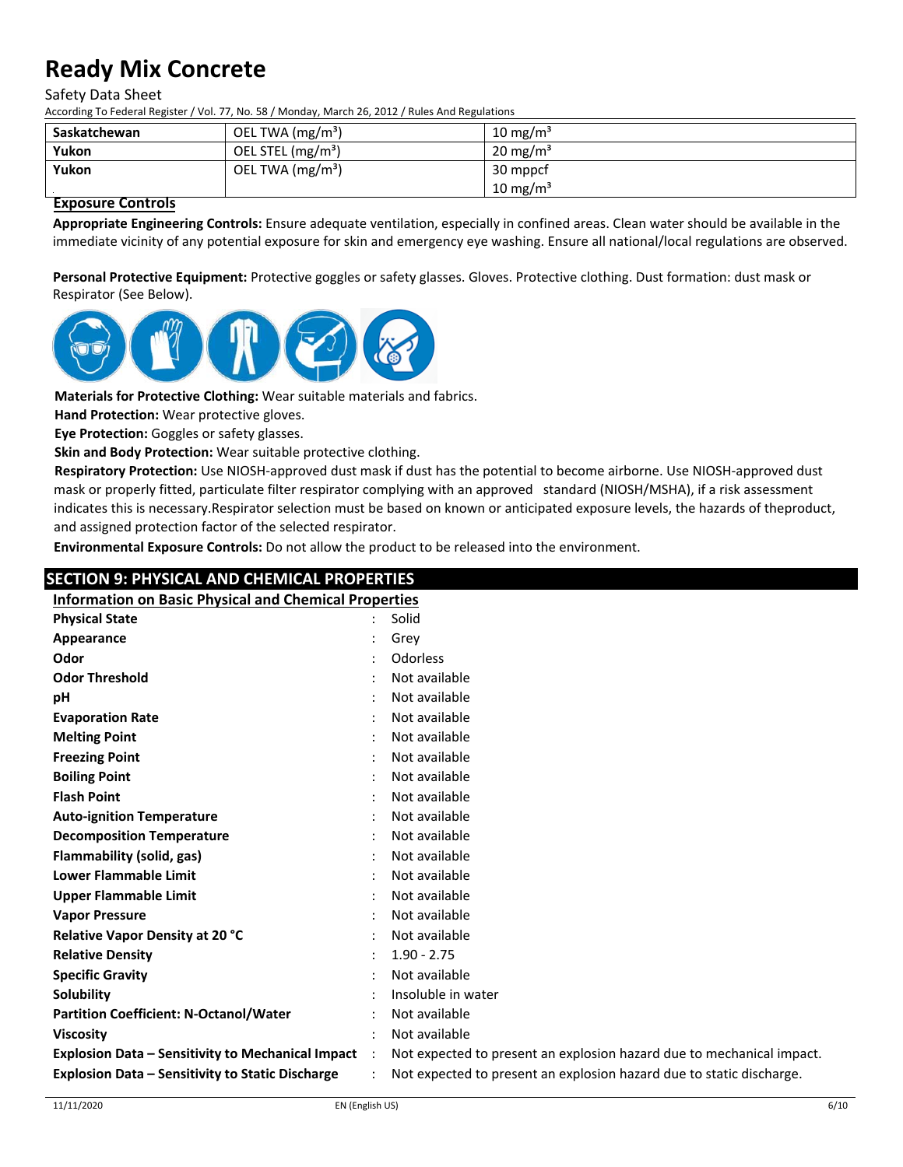#### Safety Data Sheet

According To Federal Register / Vol. 77, No. 58 / Monday, March 26, 2012 / Rules And Regulations

| Saskatchewan | OEL TWA $(mg/m3)$             | 10 mg/m <sup>3</sup> |
|--------------|-------------------------------|----------------------|
| Yukon        | OEL STEL (mg/m <sup>3</sup> ) | $20 \text{ mg/m}^3$  |
| Yukon        | OEL TWA $(mg/m3)$             | 30 mppcf             |
|              |                               | $10 \text{ mg/m}^3$  |

### **Exposure Controls**

**Appropriate Engineering Controls:** Ensure adequate ventilation, especially in confined areas. Clean water should be available in the immediate vicinity of any potential exposure for skin and emergency eye washing. Ensure all national/local regulations are observed.

**Personal Protective Equipment:** Protective goggles or safety glasses. Gloves. Protective clothing. Dust formation: dust mask or Respirator (See Below).



**Materials for Protective Clothing:** Wear suitable materials and fabrics.

**Hand Protection:** Wear protective gloves.

**Eye Protection:** Goggles or safety glasses.

**Skin and Body Protection:** Wear suitable protective clothing.

**Respiratory Protection:** Use NIOSH‐approved dust mask if dust has the potential to become airborne. Use NIOSH-approved dust mask or properly fitted, particulate filter respirator complying with an approved standard (NIOSH/MSHA), if a risk assessment indicates this is necessary.Respirator selection must be based on known or anticipated exposure levels, the hazards of theproduct, and assigned protection factor of the selected respirator.

**Environmental Exposure Controls:** Do not allow the product to be released into the environment.

## **SECTION 9: PHYSICAL AND CHEMICAL PROPERTIES Information on Basic Physical and Chemical Properties Physical State** : Solid **Appearance** : Grey **Odor** : Odorless **Odor Threshold** : Not available **pH** : Not available **Evaporation Rate by a strate of the strate of the strategy of the strategy of the strategy of the strategy of the strategy of the strategy of the strategy of the strategy of the strategy of the strategy of the strategy Melting Point** : Not available **Freezing Point** : Not available **Boiling Point** : Not available **Flash Point** : Not available **Auto‐ignition Temperature** : Not available **Decomposition Temperature** : Not available **Flammability (solid, gas)** : Not available **Lower Flammable Limit** : Not available **Upper Flammable Limit** : Not available **Vapor Pressure** : Not available **Relative Vapor Density at 20 °C** : Not available **Relative Density** : 1.90 ‐ 2.75 **Specific Gravity** : Not available **Solubility :** Insoluble in water **Partition Coefficient: N‐Octanol/Water** : Not available **Viscosity** : Not available **Explosion Data – Sensitivity to Mechanical Impact** : Not expected to present an explosion hazard due to mechanical impact.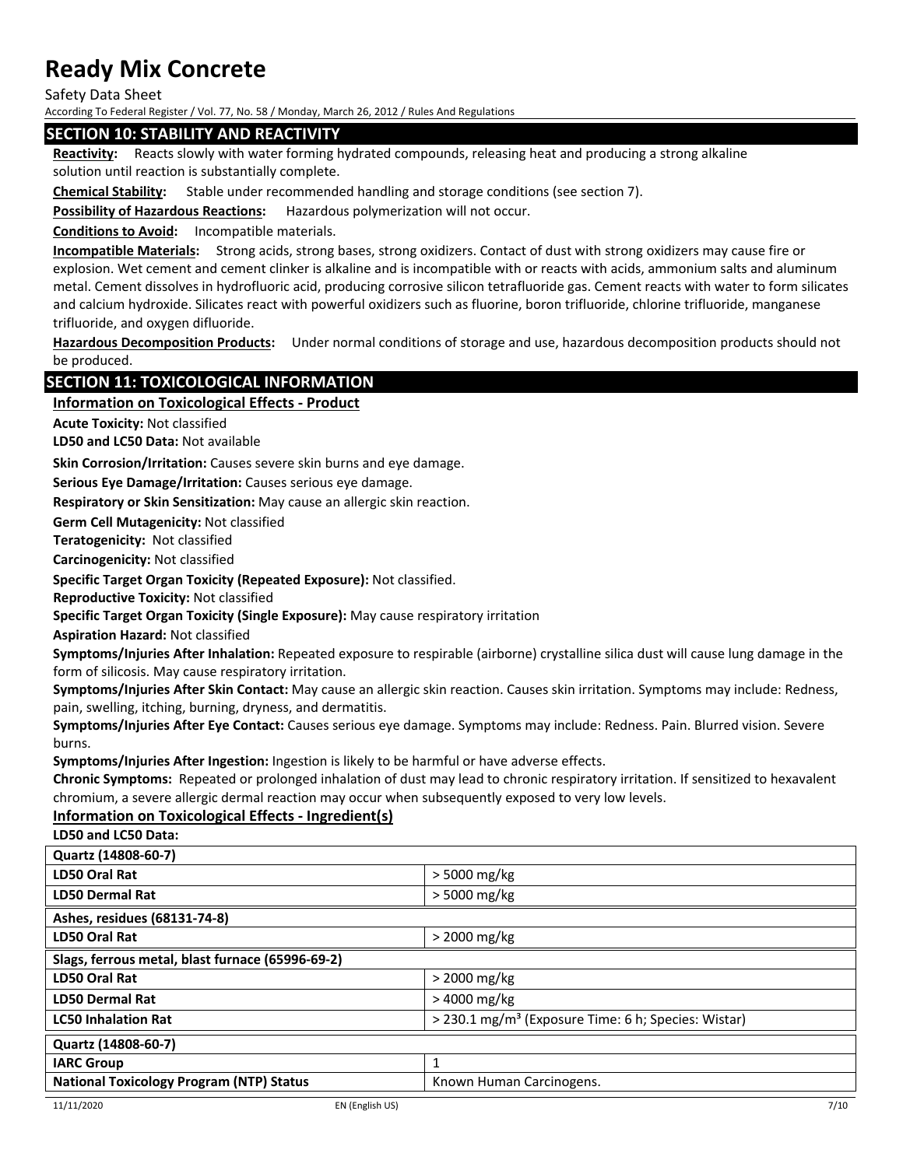Safety Data Sheet

According To Federal Register / Vol. 77, No. 58 / Monday, March 26, 2012 / Rules And Regulations

### **SECTION 10: STABILITY AND REACTIVITY**

**Reactivity:** Reacts slowly with water forming hydrated compounds, releasing heat and producing a strong alkaline solution until reaction is substantially complete.

**Chemical Stability:** Stable under recommended handling and storage conditions (see section 7).

**Possibility of Hazardous Reactions:** Hazardous polymerization will not occur.

**Conditions to Avoid:** Incompatible materials.

**Incompatible Materials:** Strong acids, strong bases, strong oxidizers. Contact of dust with strong oxidizers may cause fire or explosion. Wet cement and cement clinker is alkaline and is incompatible with or reacts with acids, ammonium salts and aluminum metal. Cement dissolves in hydrofluoric acid, producing corrosive silicon tetrafluoride gas. Cement reacts with water to form silicates and calcium hydroxide. Silicates react with powerful oxidizers such as fluorine, boron trifluoride, chlorine trifluoride, manganese trifluoride, and oxygen difluoride.

**Hazardous Decomposition Products:** Under normal conditions of storage and use, hazardous decomposition products should not be produced.

## **SECTION 11: TOXICOLOGICAL INFORMATION**

### **Information on Toxicological Effects ‐ Product**

**Acute Toxicity:** Not classified

**LD50 and LC50 Data:** Not available

**Skin Corrosion/Irritation:** Causes severe skin burns and eye damage.

**Serious Eye Damage/Irritation:** Causes serious eye damage.

**Respiratory or Skin Sensitization:** May cause an allergic skin reaction.

**Germ Cell Mutagenicity:** Not classified

**Teratogenicity:** Not classified

**Carcinogenicity:** Not classified

**Specific Target Organ Toxicity (Repeated Exposure):** Not classified.

**Reproductive Toxicity:** Not classified

**Specific Target Organ Toxicity (Single Exposure):** May cause respiratory irritation

**Aspiration Hazard:** Not classified

**Symptoms/Injuries After Inhalation:** Repeated exposure to respirable (airborne) crystalline silica dust will cause lung damage in the form of silicosis. May cause respiratory irritation.

**Symptoms/Injuries After Skin Contact:** May cause an allergic skin reaction. Causes skin irritation. Symptoms may include: Redness, pain, swelling, itching, burning, dryness, and dermatitis.

**Symptoms/Injuries After Eye Contact:** Causes serious eye damage. Symptoms may include: Redness. Pain. Blurred vision. Severe burns.

**Symptoms/Injuries After Ingestion:** Ingestion is likely to be harmful or have adverse effects.

**Chronic Symptoms:** Repeated or prolonged inhalation of dust may lead to chronic respiratory irritation. If sensitized to hexavalent chromium, a severe allergic dermal reaction may occur when subsequently exposed to very low levels.

## **Information on Toxicological Effects ‐ Ingredient(s)**

**LD50 and LC50 Data:**

| Quartz (14808-60-7)                              |                                                                 |  |
|--------------------------------------------------|-----------------------------------------------------------------|--|
| LD50 Oral Rat                                    | > 5000 mg/kg                                                    |  |
| <b>LD50 Dermal Rat</b>                           | $>$ 5000 mg/kg                                                  |  |
| Ashes, residues (68131-74-8)                     |                                                                 |  |
| LD50 Oral Rat                                    | > 2000 mg/kg                                                    |  |
| Slags, ferrous metal, blast furnace (65996-69-2) |                                                                 |  |
| LD50 Oral Rat                                    | $>$ 2000 mg/kg                                                  |  |
| <b>LD50 Dermal Rat</b>                           | > 4000 mg/kg                                                    |  |
| <b>LC50 Inhalation Rat</b>                       | > 230.1 mg/m <sup>3</sup> (Exposure Time: 6 h; Species: Wistar) |  |
| Quartz (14808-60-7)                              |                                                                 |  |
| <b>IARC Group</b>                                | 1                                                               |  |
| <b>National Toxicology Program (NTP) Status</b>  | Known Human Carcinogens.                                        |  |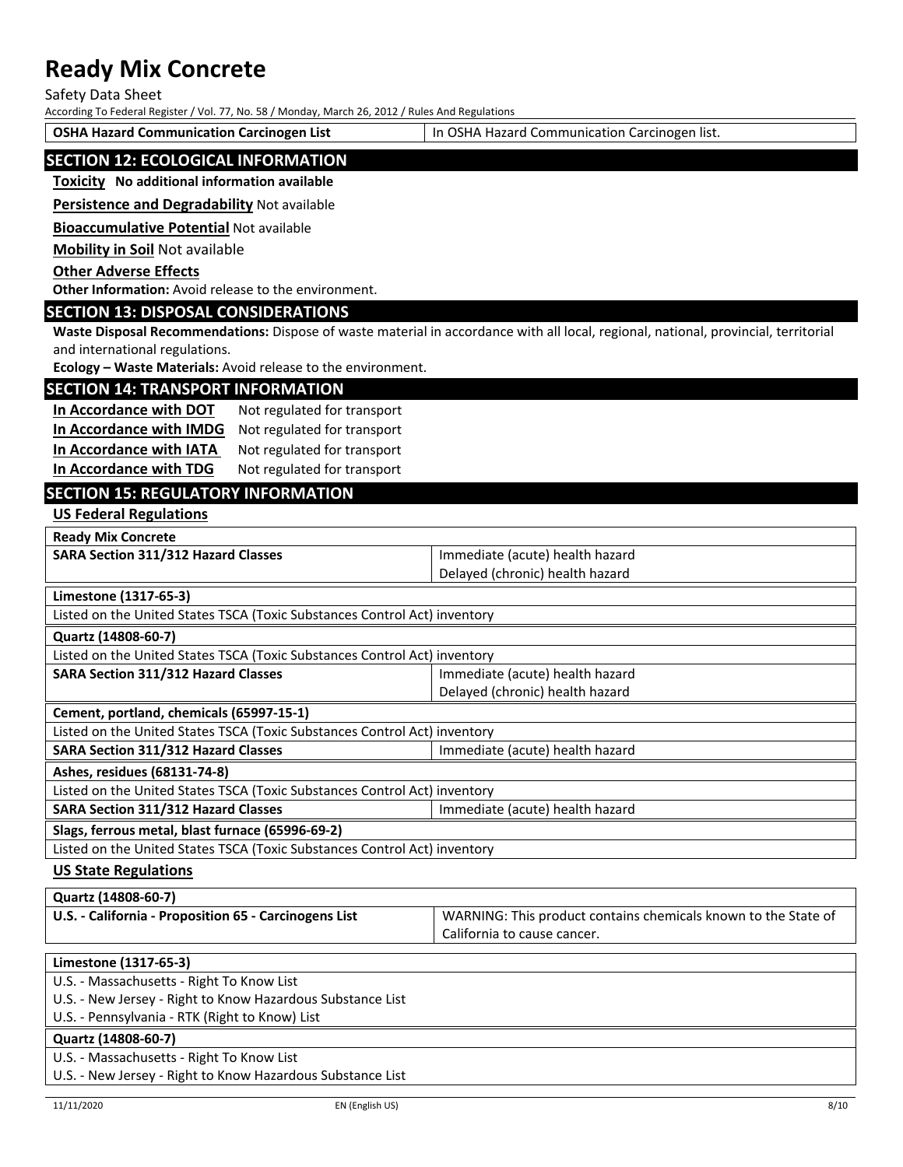Safety Data Sheet

According To Federal Register / Vol. 77, No. 58 / Monday, March 26, 2012 / Rules And Regulations

**OSHA Hazard Communication Carcinogen List** In OSHA Hazard Communication Carcinogen list.

## **SECTION 12: ECOLOGICAL INFORMATION**

#### **Toxicity No additional information available**

**Persistence and Degradability** Not available

**Bioaccumulative Potential** Not available

**Mobility in Soil** Not available

#### **Other Adverse Effects**

**Other Information:** Avoid release to the environment.

## **SECTION 13: DISPOSAL CONSIDERATIONS**

**Waste Disposal Recommendations:** Dispose of waste material in accordance with all local, regional, national, provincial, territorial and international regulations.

**Ecology – Waste Materials:** Avoid release to the environment.

#### **SECTION 14: TRANSPORT INFORMATION**

| In Accordance with DOT  | Not regulated for transport |
|-------------------------|-----------------------------|
| In Accordance with IMDG | Not regulated for transport |
| In Accordance with IATA | Not regulated for transport |
| In Accordance with TDG  | Not regulated for transport |

## **SECTION 15: REGULATORY INFORMATION**

**US Federal Regulations**

**Ready Mix Concrete**

| <b>SARA Section 311/312 Hazard Classes</b> | Immediate (acute) health hazard |
|--------------------------------------------|---------------------------------|
|                                            | Delayed (chronic) health hazard |

**Limestone (1317‐65‐3)**

Listed on the United States TSCA (Toxic Substances Control Act) inventory

**Quartz (14808‐60‐7)**

| Listed on the United States TSCA (Toxic Substances Control Act) inventory |                                 |  |
|---------------------------------------------------------------------------|---------------------------------|--|
| <b>SARA Section 311/312 Hazard Classes</b>                                | Immediate (acute) health hazard |  |
|                                                                           | Delayed (chronic) health hazard |  |
| Coment nortland chamicals (CEOO7 1E 1)                                    |                                 |  |

**Cement, portland, chemicals (65997‐15‐1)**

Listed on the United States TSCA (Toxic Substances Control Act) inventory **SARA Section 311/312 Hazard Classes** Immediate (acute) health hazard

**Ashes, residues (68131‐74‐8)**

Listed on the United States TSCA (Toxic Substances Control Act) inventory

**SARA Section 311/312 Hazard Classes Integrals of the Immediate (acute) health hazard** 

### **Slags, ferrous metal, blast furnace (65996‐69‐2)**

Listed on the United States TSCA (Toxic Substances Control Act) inventory

#### **US State Regulations**

| Quartz (14808-60-7) |  |
|---------------------|--|
|---------------------|--|

| U.S. - California - Proposition 65 - Carcinogens List | WARNING: This product contains chemicals known to the State of |
|-------------------------------------------------------|----------------------------------------------------------------|
|                                                       | California to cause cancer.                                    |

### **Limestone (1317‐65‐3)**

U.S. ‐ Massachusetts ‐ Right To Know List

U.S. ‐ New Jersey ‐ Right to Know Hazardous Substance List

U.S. ‐ Pennsylvania ‐ RTK (Right to Know) List

### **Quartz (14808‐60‐7)**

U.S. ‐ Massachusetts ‐ Right To Know List

U.S. ‐ New Jersey ‐ Right to Know Hazardous Substance List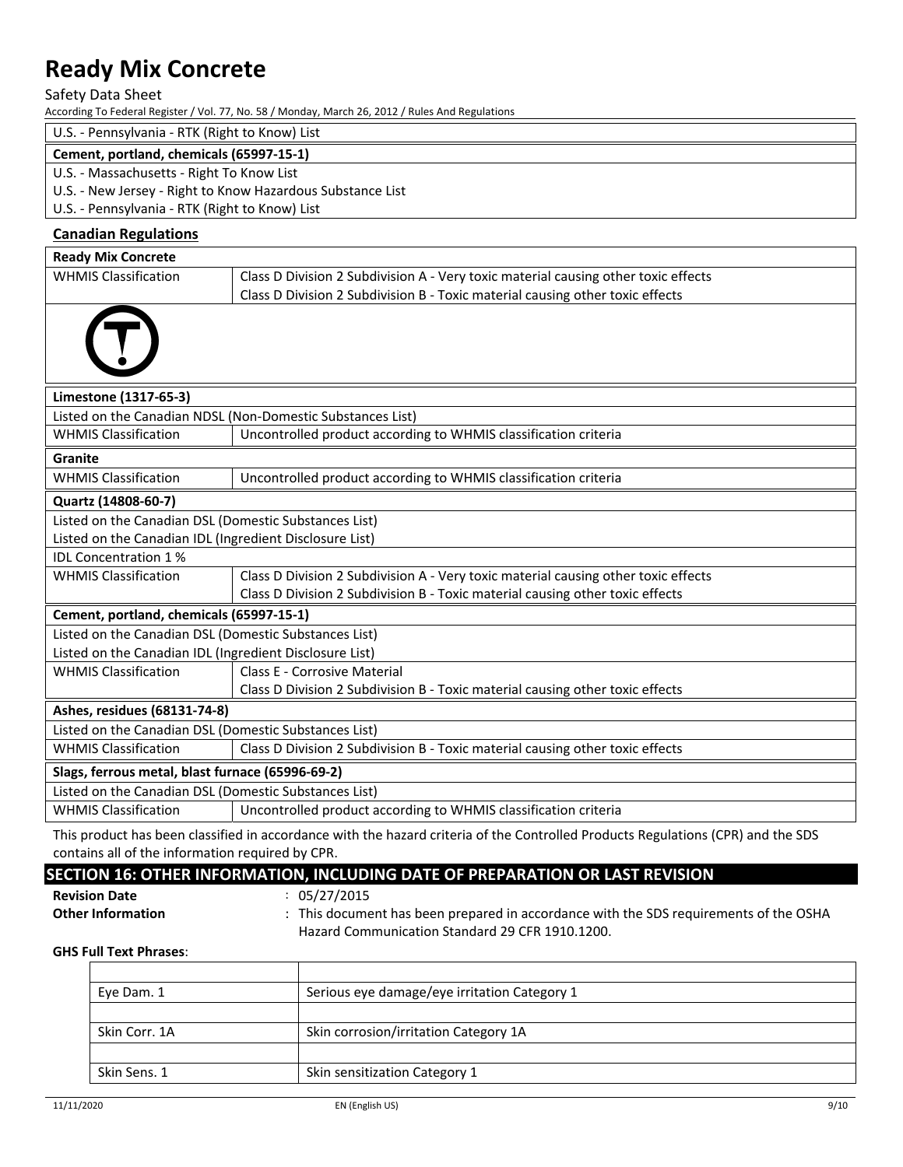Safety Data Sheet

According To Federal Register / Vol. 77, No. 58 / Monday, March 26, 2012 / Rules And Regulations

## U.S. ‐ Pennsylvania ‐ RTK (Right to Know) List

#### **Cement, portland, chemicals (65997‐15‐1)**

- U.S. ‐ Massachusetts ‐ Right To Know List
- U.S. ‐ New Jersey ‐ Right to Know Hazardous Substance List

U.S. ‐ Pennsylvania ‐ RTK (Right to Know) List

## **Canadian Regulations**

| <b>Ready Mix Concrete</b>                                  |                                                                                    |  |  |  |
|------------------------------------------------------------|------------------------------------------------------------------------------------|--|--|--|
| <b>WHMIS Classification</b>                                | Class D Division 2 Subdivision A - Very toxic material causing other toxic effects |  |  |  |
|                                                            | Class D Division 2 Subdivision B - Toxic material causing other toxic effects      |  |  |  |
|                                                            |                                                                                    |  |  |  |
|                                                            |                                                                                    |  |  |  |
| Limestone (1317-65-3)                                      |                                                                                    |  |  |  |
| Listed on the Canadian NDSL (Non-Domestic Substances List) |                                                                                    |  |  |  |
| <b>WHMIS Classification</b>                                | Uncontrolled product according to WHMIS classification criteria                    |  |  |  |
| Granite                                                    |                                                                                    |  |  |  |
| <b>WHMIS Classification</b>                                | Uncontrolled product according to WHMIS classification criteria                    |  |  |  |
| Quartz (14808-60-7)                                        |                                                                                    |  |  |  |
| Listed on the Canadian DSL (Domestic Substances List)      |                                                                                    |  |  |  |
| Listed on the Canadian IDL (Ingredient Disclosure List)    |                                                                                    |  |  |  |
| <b>IDL Concentration 1%</b>                                |                                                                                    |  |  |  |
| <b>WHMIS Classification</b>                                | Class D Division 2 Subdivision A - Very toxic material causing other toxic effects |  |  |  |
|                                                            | Class D Division 2 Subdivision B - Toxic material causing other toxic effects      |  |  |  |
| Cement, portland, chemicals (65997-15-1)                   |                                                                                    |  |  |  |
| Listed on the Canadian DSL (Domestic Substances List)      |                                                                                    |  |  |  |
| Listed on the Canadian IDL (Ingredient Disclosure List)    |                                                                                    |  |  |  |
| <b>WHMIS Classification</b>                                | Class E - Corrosive Material                                                       |  |  |  |
|                                                            | Class D Division 2 Subdivision B - Toxic material causing other toxic effects      |  |  |  |
| Ashes, residues (68131-74-8)                               |                                                                                    |  |  |  |
| Listed on the Canadian DSL (Domestic Substances List)      |                                                                                    |  |  |  |
| <b>WHMIS Classification</b>                                | Class D Division 2 Subdivision B - Toxic material causing other toxic effects      |  |  |  |
| Slags, ferrous metal, blast furnace (65996-69-2)           |                                                                                    |  |  |  |
| Listed on the Canadian DSL (Domestic Substances List)      |                                                                                    |  |  |  |
| <b>WHMIS Classification</b>                                | Uncontrolled product according to WHMIS classification criteria                    |  |  |  |

This product has been classified in accordance with the hazard criteria of the Controlled Products Regulations (CPR) and the SDS contains all of the information required by CPR.

## **SECTION 16: OTHER INFORMATION, INCLUDING DATE OF PREPARATION OR LAST REVISION**

**Revision Date** : 05/27/2015

**Other Information** : This document has been prepared in accordance with the SDS requirements of the OSHA Hazard Communication Standard 29 CFR 1910.1200.

### **GHS Full Text Phrases**:

| Eye Dam. 1    | Serious eye damage/eye irritation Category 1 |  |
|---------------|----------------------------------------------|--|
| Skin Corr. 1A | Skin corrosion/irritation Category 1A        |  |
| Skin Sens. 1  | Skin sensitization Category 1                |  |